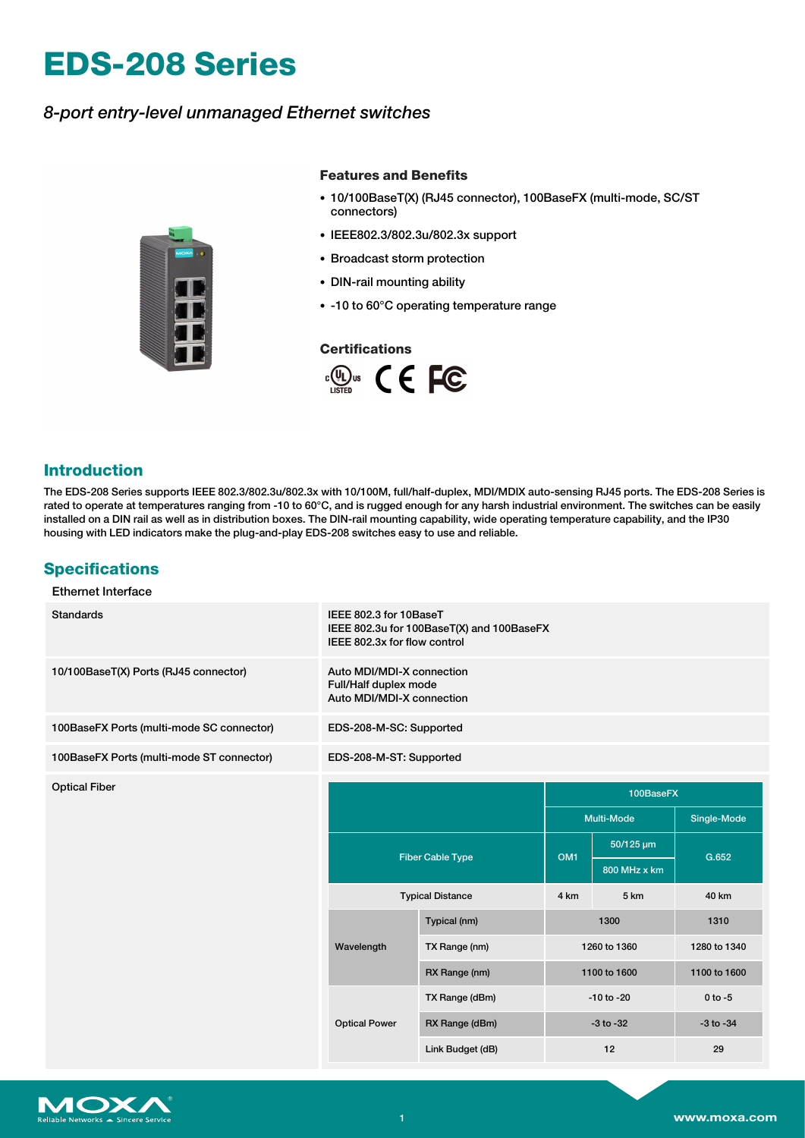# **EDS-208 Series**

## *8-port entry-level unmanaged Ethernet switches*



#### **Features and Benefits**

- 10/100BaseT(X) (RJ45 connector), 100BaseFX (multi-mode, SC/ST connectors)
- IEEE802.3/802.3u/802.3x support
- Broadcast storm protection
- DIN-rail mounting ability
- -10 to 60°C operating temperature range

#### **Certifications**



### **Introduction**

The EDS-208 Series supports IEEE 802.3/802.3u/802.3x with 10/100M, full/half-duplex, MDI/MDIX auto-sensing RJ45 ports. The EDS-208 Series is rated to operate at temperatures ranging from -10 to 60°C, and is rugged enough for any harsh industrial environment. The switches can be easily installed on a DIN rail as well as in distribution boxes. The DIN-rail mounting capability, wide operating temperature capability, and the IP30 housing with LED indicators make the plug-and-play EDS-208 switches easy to use and reliable.

## **Specifications**

#### Ethernet Interface

| <b>Standards</b>                          | IEEE 802.3 for 10BaseT<br>IEEE 802.3u for 100BaseT(X) and 100BaseFX<br>IEEE 802.3x for flow control |                         |                   |              |               |
|-------------------------------------------|-----------------------------------------------------------------------------------------------------|-------------------------|-------------------|--------------|---------------|
| 10/100BaseT(X) Ports (RJ45 connector)     | Auto MDI/MDI-X connection<br>Full/Half duplex mode<br>Auto MDI/MDI-X connection                     |                         |                   |              |               |
| 100BaseFX Ports (multi-mode SC connector) | EDS-208-M-SC: Supported                                                                             |                         |                   |              |               |
| 100BaseFX Ports (multi-mode ST connector) | EDS-208-M-ST: Supported                                                                             |                         |                   |              |               |
| <b>Optical Fiber</b>                      |                                                                                                     | 100BaseFX               |                   |              |               |
|                                           |                                                                                                     |                         | <b>Multi-Mode</b> |              | Single-Mode   |
|                                           |                                                                                                     | <b>Fiber Cable Type</b> | OM <sub>1</sub>   | 50/125 um    | G.652         |
|                                           | <b>Typical Distance</b>                                                                             |                         |                   | 800 MHz x km |               |
|                                           |                                                                                                     |                         | 4 km              | 5 km         | 40 km         |
|                                           | Wavelength                                                                                          | Typical (nm)            | 1300              |              | 1310          |
|                                           |                                                                                                     | TX Range (nm)           | 1260 to 1360      |              | 1280 to 1340  |
|                                           |                                                                                                     | RX Range (nm)           | 1100 to 1600      |              | 1100 to 1600  |
|                                           | <b>Optical Power</b>                                                                                | TX Range (dBm)          | $-10$ to $-20$    |              | $0$ to $-5$   |
|                                           |                                                                                                     | RX Range (dBm)          | $-3$ to $-32$     |              | $-3$ to $-34$ |
|                                           |                                                                                                     | Link Budget (dB)        | 12                |              | 29            |
|                                           |                                                                                                     |                         |                   |              |               |

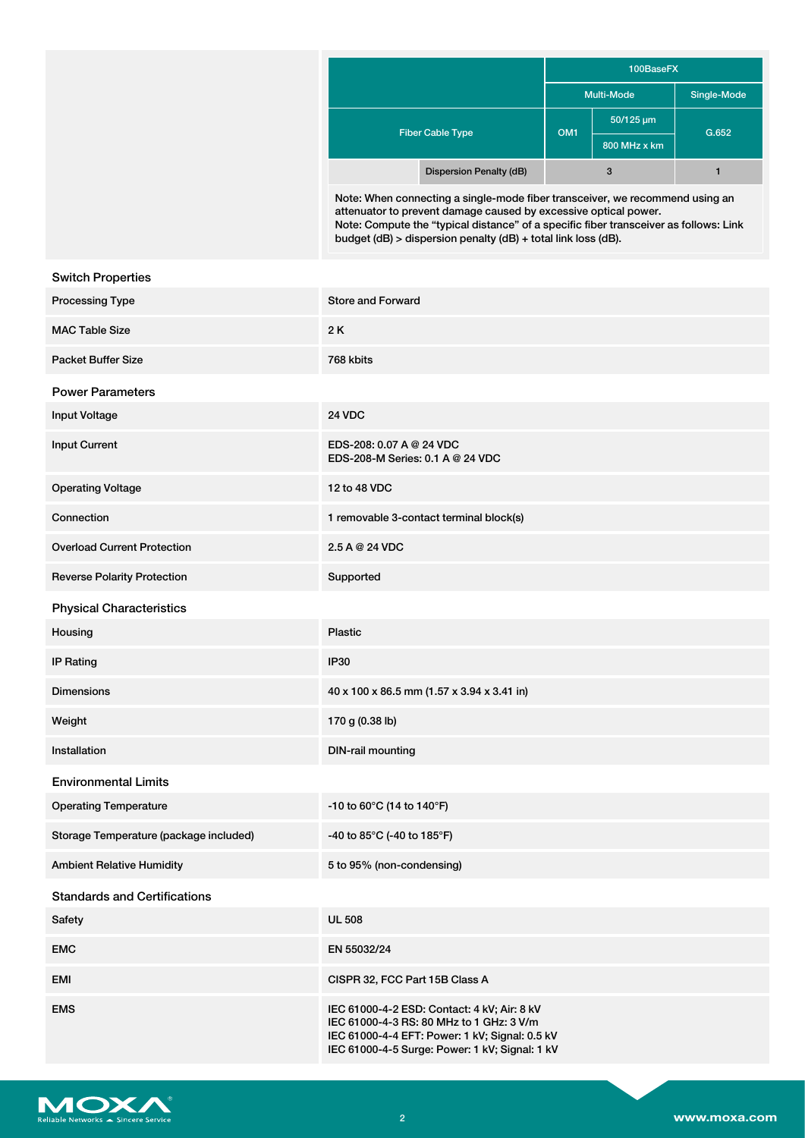|                                | 100BaseFX         |                             |             |  |
|--------------------------------|-------------------|-----------------------------|-------------|--|
|                                | <b>Multi-Mode</b> |                             | Single-Mode |  |
| <b>Fiber Cable Type</b>        | OM <sub>1</sub>   | $50/125 \,\mathrm{\upmu m}$ | G.652       |  |
|                                |                   | 800 MHz x km                |             |  |
| <b>Dispersion Penalty (dB)</b> |                   | 3                           |             |  |

Note: When connecting a single-mode fiber transceiver, we recommend using an attenuator to prevent damage caused by excessive optical power. Note: Compute the "typical distance" of a specific fiber transceiver as follows: Link budget (dB) > dispersion penalty (dB) + total link loss (dB).

| <b>Switch Properties</b>               |                                                                                                                                                                                             |
|----------------------------------------|---------------------------------------------------------------------------------------------------------------------------------------------------------------------------------------------|
| Processing Type                        | <b>Store and Forward</b>                                                                                                                                                                    |
| <b>MAC Table Size</b>                  | 2K                                                                                                                                                                                          |
| <b>Packet Buffer Size</b>              | 768 kbits                                                                                                                                                                                   |
| <b>Power Parameters</b>                |                                                                                                                                                                                             |
| <b>Input Voltage</b>                   | <b>24 VDC</b>                                                                                                                                                                               |
| <b>Input Current</b>                   | EDS-208: 0.07 A @ 24 VDC<br>EDS-208-M Series: 0.1 A @ 24 VDC                                                                                                                                |
| <b>Operating Voltage</b>               | 12 to 48 VDC                                                                                                                                                                                |
| Connection                             | 1 removable 3-contact terminal block(s)                                                                                                                                                     |
| <b>Overload Current Protection</b>     | 2.5 A @ 24 VDC                                                                                                                                                                              |
| <b>Reverse Polarity Protection</b>     | Supported                                                                                                                                                                                   |
| <b>Physical Characteristics</b>        |                                                                                                                                                                                             |
| Housing                                | <b>Plastic</b>                                                                                                                                                                              |
| <b>IP Rating</b>                       | <b>IP30</b>                                                                                                                                                                                 |
| <b>Dimensions</b>                      | 40 x 100 x 86.5 mm (1.57 x 3.94 x 3.41 in)                                                                                                                                                  |
| Weight                                 | 170 g (0.38 lb)                                                                                                                                                                             |
| Installation                           | <b>DIN-rail mounting</b>                                                                                                                                                                    |
| <b>Environmental Limits</b>            |                                                                                                                                                                                             |
| <b>Operating Temperature</b>           | -10 to 60°C (14 to 140°F)                                                                                                                                                                   |
| Storage Temperature (package included) | -40 to 85°C (-40 to 185°F)                                                                                                                                                                  |
| <b>Ambient Relative Humidity</b>       | 5 to 95% (non-condensing)                                                                                                                                                                   |
| <b>Standards and Certifications</b>    |                                                                                                                                                                                             |
| Safety                                 | <b>UL 508</b>                                                                                                                                                                               |
| <b>EMC</b>                             | EN 55032/24                                                                                                                                                                                 |
| <b>EMI</b>                             | CISPR 32, FCC Part 15B Class A                                                                                                                                                              |
| <b>EMS</b>                             | IEC 61000-4-2 ESD: Contact: 4 kV; Air: 8 kV<br>IEC 61000-4-3 RS: 80 MHz to 1 GHz: 3 V/m<br>IEC 61000-4-4 EFT: Power: 1 kV; Signal: 0.5 kV<br>IEC 61000-4-5 Surge: Power: 1 kV; Signal: 1 kV |

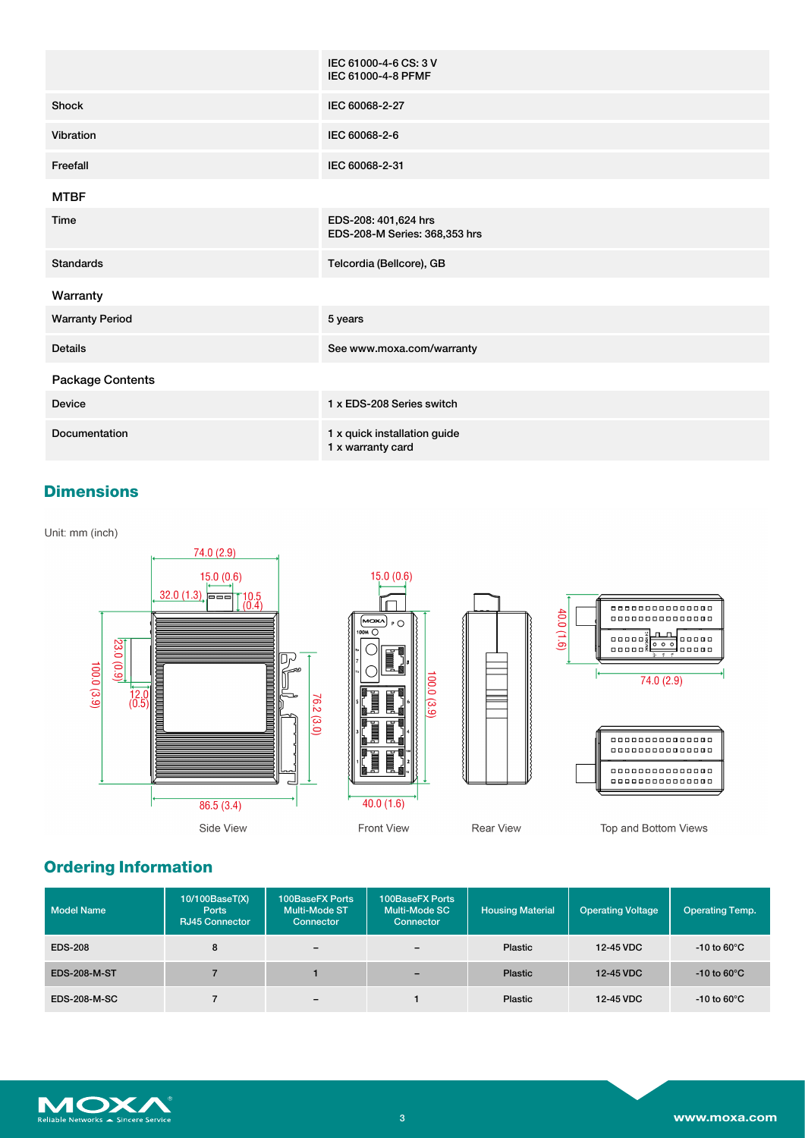|                        | IEC 61000-4-6 CS: 3 V<br>IEC 61000-4-8 PFMF           |
|------------------------|-------------------------------------------------------|
| Shock                  | IEC 60068-2-27                                        |
| Vibration              | IEC 60068-2-6                                         |
| Freefall               | IEC 60068-2-31                                        |
| <b>MTBF</b>            |                                                       |
| Time                   | EDS-208: 401,624 hrs<br>EDS-208-M Series: 368,353 hrs |
| <b>Standards</b>       | Telcordia (Bellcore), GB                              |
| Warranty               |                                                       |
| <b>Warranty Period</b> | 5 years                                               |
| <b>Details</b>         | See www.moxa.com/warranty                             |
| Package Contents       |                                                       |
| <b>Device</b>          | 1 x EDS-208 Series switch                             |
| Documentation          | 1 x quick installation guide<br>1 x warranty card     |

## **Dimensions**

Unit: mm (inch)



# **Ordering Information**

| Model Name          | 10/100BaseT(X)<br><b>Ports</b><br><b>RJ45 Connector</b> | 100BaseFX Ports<br>Multi-Mode ST<br>Connector | 100BaseFX Ports<br>Multi-Mode SC<br>Connector | <b>Housing Material</b> | <b>Operating Voltage</b> | <b>Operating Temp.</b>  |
|---------------------|---------------------------------------------------------|-----------------------------------------------|-----------------------------------------------|-------------------------|--------------------------|-------------------------|
| <b>EDS-208</b>      | 8                                                       | $\overline{\phantom{0}}$                      | $\overline{\phantom{m}}$                      | Plastic                 | 12-45 VDC                | -10 to 60 $\degree$ C   |
| <b>EDS-208-M-ST</b> |                                                         |                                               | $\overline{\phantom{a}}$                      | <b>Plastic</b>          | 12-45 VDC                | $-10$ to 60 $\degree$ C |
| <b>EDS-208-M-SC</b> |                                                         | $\overline{\phantom{0}}$                      |                                               | Plastic                 | 12-45 VDC                | -10 to 60 $\degree$ C   |